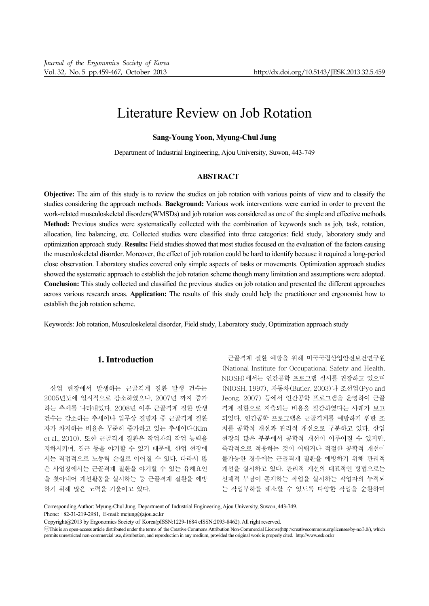# Literature Review on Job Rotation

## **Sang-Young Yoon, Myung-Chul Jung**

Department of Industrial Engineering, Ajou University, Suwon, 443-749

# **ABSTRACT**

**Objective:** The aim of this study is to review the studies on job rotation with various points of view and to classify the studies considering the approach methods. **Background:** Various work interventions were carried in order to prevent the work-related musculoskeletal disorders(WMSDs) and job rotation was considered as one of the simple and effective methods. **Method:** Previous studies were systematically collected with the combination of keywords such as job, task, rotation, allocation, line balancing, etc. Collected studies were classified into three categories: field study, laboratory study and optimization approach study. **Results:** Field studies showed that most studies focused on the evaluation of the factors causing the musculoskeletal disorder. Moreover, the effect of job rotation could be hard to identify because it required a long-period close observation. Laboratory studies covered only simple aspects of tasks or movements. Optimization approach studies showed the systematic approach to establish the job rotation scheme though many limitation and assumptions were adopted. **Conclusion:** This study collected and classified the previous studies on job rotation and presented the different approaches across various research areas. **Application:** The results of this study could help the practitioner and ergonomist how to establish the job rotation scheme.

Keywords: Job rotation, Musculoskeletal disorder, Field study, Laboratory study, Optimization approach study

# **1. Introduction**

산업 현장에서 발생하는 근골격계 질환 발생 건수는 2005년도에 일시적으로 감소하였으나, 2007년 까지 증가 하는 추세를 나타내었다. 2008년 이후 근골격계 질환 발생 건수는 감소하는 추세이나 업무상 질병자 중 근골격계 질환 자가 차지하는 비율은 꾸준히 증가하고 있는 추세이다(Kim et al., 2010). 또한 근골격계 질환은 작업자의 작업 능력을 저하시키며, 결근 등을 야기할 수 있기 때문에, 산업 현장에 서는 직접적으로 노동력 손실로 이어질 수 있다. 따라서 많 은 사업장에서는 근골격계 질환을 야기할 수 있는 유해요인 을 찾아내어 개선활동을 실시하는 등 근골격계 질환을 예방 하기 위해 많은 노력을 기울이고 있다.

근골격계 질환 예방을 위해 미국국립산업안전보건연구원 (National Institute for Occupational Safety and Health, NIOSH)에서는 인간공학 프로그램 실시를 권장하고 있으며 (NIOSH, 1997), 자동차(Butler, 2003)나 조선업(Pyo and Jeong, 2007) 등에서 인간공학 프로그램을 운영하여 근골 격계 질환으로 지출되는 비용을 절감하였다는 사례가 보고 되었다. 인간공학 프로그램은 근골격계를 예방하기 위한 조 치를 공학적 개선과 관리적 개선으로 구분하고 있다. 산업 현장의 많은 부분에서 공학적 개선이 이루어질 수 있지만, 즉각적으로 적용하는 것이 어렵거나 적절한 공학적 개선이 불가능한 경우에는 근골격계 질환을 예방하기 위해 관리적 개선을 실시하고 있다. 관리적 개선의 대표적인 방법으로는 신체적 부담이 존재하는 작업을 실시하는 작업자의 누적되 는 작업부하를 해소할 수 있도록 다양한 작업을 순환하며

Corresponding Author: Myung-Chul Jung. Department of Industrial Engineering, Ajou University, Suwon, 443-749.

Phone: +82-31-219-2981, E-mail: mcjung@ajou.ac.kr

Copyright@2013 by Ergonomics Society of Korea(pISSN:1229-1684 eISSN:2093-8462). All right reserved.

CThis is an open-access article distributed under the terms of the Creative Commons Attribution Non-Commercial License(http://creativecommons.org/licenses/by-nc/3.0/), which permits unrestricted non-commercial use, distribution, and reproduction in any medium, provided the original work is properly cited. http://www.esk.or.kr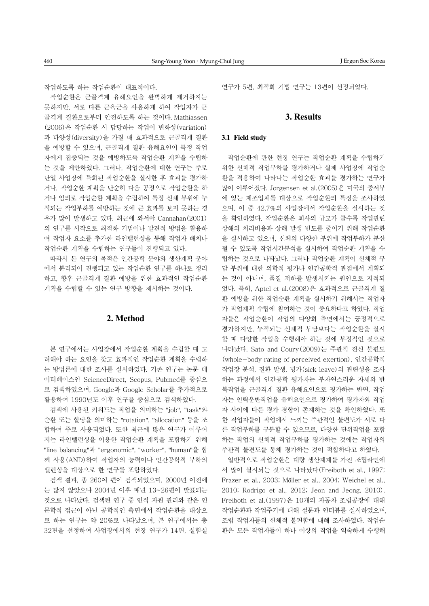작업하도록 하는 작업순환이 대표적이다.

작업순환은 근골격계 유해요인을 완벽하게 제거하지는 못하지만, 서로 다른 근육군을 사용하게 하여 작업자가 근 골격계 질환으로부터 안전하도록 하는 것이다. Mathiassen (2006)은 작업순환 시 담당하는 작업이 변화성(variation) 과 다양성(diversity)을 가질 때 효과적으로 근골격계 질환 을 예방할 수 있으며, 근골격계 질환 유해요인이 특정 작업 자에게 집중되는 것을 예방하도록 작업순환 계획을 수립하 는 것을 제안하였다. 그러나, 작업순환에 대한 연구는 주로 단일 사업장에 특화된 작업순환을 실시한 후 효과를 평가하 거나, 작업순환 계획을 단순히 다음 공정으로 작업순환을 하 거나 임의로 작업순환 계획을 수립하여 특정 신체 부위에 누 적되는 작업부하를 예방하는 것에 큰 효과를 보지 못하는 경 우가 많이 발생하고 있다. 최근에 와서야 Cannahan(2001) 의 연구를 시작으로 최적화 기법이나 발견적 방법을 활용하 여 작업자 요소를 추가한 라인밸런싱을 통해 작업자 배치나 작업순환 계획을 수립하는 연구들이 진행되고 있다.

따라서 본 연구의 목적은 인간공학 분야와 생산계획 분야 에서 분리되어 진행되고 있는 작업순환 연구를 하나로 정리 하고, 향후 근골격계 질환 예방을 위한 효과적인 작업순환 계획을 수립할 수 있는 연구 방향을 제시하는 것이다.

## **2. Method**

본 연구에서는 사업장에서 작업순환 계획을 수립할 때 고 려해야 하는 요인을 찾고 효과적인 작업순환 계획을 수립하 는 방법론에 대한 조사를 실시하였다. 기존 연구는 논문 데 이터베이스인 ScienceDirect, Scopus, Pubmed를 중심으 로 검색하였으며, Google과 Google Scholar를 추가적으로 활용하여 1990년도 이후 연구를 중심으로 검색하였다.

검색에 사용된 키워드는 작업을 의미하는 "job", "task"와 순환 또는 할당을 의미하는 "rotation", "allocation" 등을 조 합하여 주로 사용되었다. 또한 최근에 많은 연구가 이루어 지는 라인밸런싱을 이용한 작업순환 계획을 포함하기 위해 "line balancing"과 "ergonomic", "worker", "human"을 함 께 사용(AND)하여 작업자의 능력이나 인간공학적 부하의 밸런싱을 대상으로 한 연구를 포함하였다.

검색 결과, 총 260여 편이 검색되었으며, 2000년 이전에 는 많지 않았으나 2004년 이후 매년 13~26편이 발표되는 것으로 나타났다. 검색된 연구 중 인적 자원 관리와 같은 인 문학적 접근이 아닌 공학적인 측면에서 작업순환을 대상으 로 하는 연구는 약 20%로 나타났으며, 본 연구에서는 총 32편을 선정하여 사업장에서의 현장 연구가 14편, 실험실 연구가 5편, 최적화 기법 연구는 13편이 선정되었다.

## **3. Results**

## **3.1 Field study**

작업순환에 관한 현장 연구는 작업순환 계획을 수립하기 위한 신체적 작업부하를 평가하거나 실제 사업장에 작업순 환을 적용하여 나타나는 작업순환 효과를 평가하는 연구가 많이 이루어졌다. Jorgensen et al.(2005)은 미국의 중서부 에 있는 제조업체를 대상으로 작업순환의 특징을 조사하였 으며, 이 중 42.7%의 사업장에서 작업순환을 실시하는 것 을 확인하였다. 작업순환은 회사의 규모가 클수록 작업관련 상해의 처리비용과 상해 발생 빈도를 줄이기 위해 작업순환 을 실시하고 있으며, 신체의 다양한 부위에 작업부하가 분산 될 수 있도록 작업시간분석을 실시하여 작업순환 계획을 수 립하는 것으로 나타났다. 그러나 작업순환 계획이 신체적 부 담 부위에 대한 의학적 평가나 인간공학적 관점에서 계획되 는 것이 아니며, 품질 저하를 발생시키는 원인으로 지적되 었다. 특히, Aptel et al.(2008)은 효과적으로 근골격계 질 환 예방을 위한 작업순환 계획을 실시하기 위해서는 작업자 가 작업계획 수립에 참여하는 것이 중요하다고 하였다. 작업 자들은 작업순환이 작업의 다양화 측면에서는 긍정적으로 평가하지만, 누적되는 신체적 부담보다는 작업순환을 실시 할 때 다양한 작업을 수행해야 하는 것에 부정적인 것으로 나타났다. Sato and Coury(2009)는 주관적 전신 불편도 (whole-body rating of perceived exertion), 인간공학적 작업장 분석, 질환 발생, 병가(sick leave)의 관련성을 조사 하는 과정에서 인간공학 평가자는 부자연스러운 자세와 반 복작업을 근골격계 질환 유해요인으로 평가하는 반면, 작업 자는 인력운반작업을 유해요인으로 평가하여 평가자와 작업 자 사이에 다른 평가 경향이 존재하는 것을 확인하였다. 또 한 작업자들이 작업에서 느끼는 주관적인 불편도가 서로 다 른 작업부하를 구분할 수 있으므로, 다양한 단위작업을 포함 하는 작업의 신체적 작업부하를 평가하는 것에는 작업자의 주관적 불편도를 통해 평가하는 것이 적합하다고 하였다.

일반적으로 작업순환은 대량 생산체계를 가진 조립라인에 서 많이 실시되는 것으로 나타났다(Freiboth et al., 1997; Frazer et al., 2003; Möller et al., 2004; Weichel et al., 2010; Rodrigo et al., 2012; Jeon and Jeong, 2010). Freiboth et al.(1997)은 10개의 자동차 조립공장에 대해 작업순환과 작업주기에 대해 설문과 인터뷰를 실시하였으며, 조립 작업자들의 신체적 불편함에 대해 조사하였다. 작업순 환은 모든 작업자들이 하나 이상의 작업을 익숙하게 수행해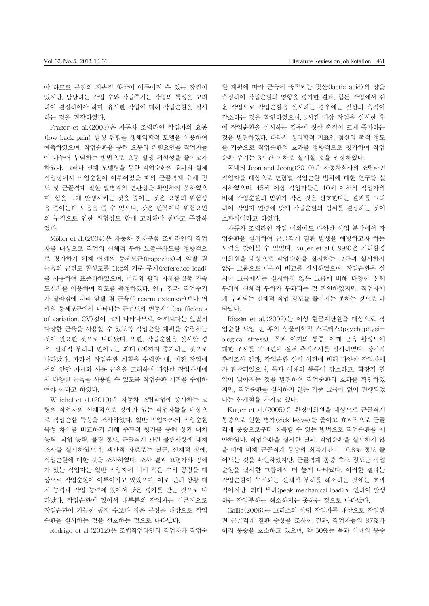야 하므로 공정의 지속적 향상이 이루어질 수 있는 장점이 있지만, 담당하는 작업 수와 작업주기는 작업의 특성을 고려 하여 결정하여야 하며, 유사한 작업에 대해 작업순환을 실시 하는 것을 권장하였다.

Frazer et al.(2003)은 자동차 조립라인 작업자의 요통 (low back pain) 발생 위험을 생체역학적 모델을 이용하여 예측하였으며, 작업순환을 통해 요통의 위험요인을 작업자들 이 나누어 부담하는 방법으로 요통 발생 위험성을 줄이고자 하였다. 그러나 신체 모델링을 통한 작업순환의 효과와 실제 작업장에서 작업순환이 이루어졌을 때의 근골격계 유해 정 도 및 근골격계 질환 발병과의 연관성을 확인하지 못하였으 며, 힘을 크게 발생시키는 것을 줄이는 것은 요통의 위험성 을 줄이는데 도움을 줄 수 있으나, 잦은 반복이나 위험요인 의 누적으로 인한 위험성도 함께 고려해야 한다고 주장하 였다.

Möller et al.(2004)은 자동차 전자부품 조립라인의 작업 자를 대상으로 작업의 신체적 부하 노출유사도를 정량적으 로 평가하기 위해 어깨의 등세모근(trapezius)과 앞팔 폄 근육의 근전도 활성도를 1kg의 기준 무게(reference load) 를 사용하여 표준화하였으며, 머리와 팔의 자세를 3축 가속 도센서를 이용하여 각도를 측정하였다. 연구 결과, 작업주기 가 달라짐에 따라 앞팔 폄 근육(forearm extensor)보다 어 깨의 등세모근에서 나타나는 근전도의 변동계수(coefficients of variation, CV)값이 크게 나타나므로, 어깨보다는 앞팔의 다양한 근육을 사용할 수 있도록 작업순환 계획을 수립하는 것이 필요한 것으로 나타났다. 또한, 작업순환을 실시할 경 우, 신체적 부하의 변이도는 최대 6배까지 증가하는 것으로 나타났다. 따라서 작업순환 계획을 수립할 때, 이전 작업에 서의 앞팔 자세와 사용 근육을 고려하여 다양한 작업자세에 서 다양한 근육을 사용할 수 있도록 작업순환 계획을 수립하 여야 한다고 하였다.

Weichel et al.(2010)은 자동차 조립작업에 종사하는 고 령의 작업자와 신체적으로 장애가 있는 작업자들을 대상으 로 작업순환 특성을 조사하였다. 일반 작업자와의 작업순환 특성 차이를 비교하기 위해 주관적 평가를 통해 상황 대처 능력, 작업 능력, 불평 정도, 근골격계 관련 불편사항에 대해 조사를 실시하였으며, 객관적 자료로는 결근, 신체적 장애, 작업순환에 대한 것을 조사하였다. 조사 결과 고령자와 장애 가 있는 작업자는 일반 작업자에 비해 적은 수의 공정을 대 상으로 작업순환이 이루어지고 있었으며, 이로 인해 상황 대 처 능력과 작업 능력에 있어서 낮은 평가를 받는 것으로 나 타났다. 작업순환에 있어서 대부분의 작업자는 이론적으로 작업순환이 가능한 공정 수보다 적은 공정을 대상으로 작업 순환을 실시하는 것을 선호하는 것으로 나타났다.

Rodrigo et al.(2012)은 조립작업라인의 작업자가 작업순

환 계획에 따라 근육에 축적되는 젖산(lactic acid)의 양을 측정하여 작업순환의 영향을 평가한 결과, 힘든 작업에서 쉬 운 작업으로 작업순환을 실시하는 경우에는 젖산의 축적이 감소하는 것을 확인하였으며, 3시간 이상 작업을 실시한 후 에 작업순환을 실시하는 경우에 젖산 축적이 크게 증가하는 것을 발견하였다. 따라서 생리학적 지표인 젖산의 축적 정도 를 기준으로 작업순환의 효과를 정량적으로 평가하여 작업 순환 주기는 3시간 이하로 실시할 것을 권장하였다.

국내의 Jeon and Jeong(2010)은 자동차회사의 조립라인 작업자를 대상으로 연령별 작업순환 범위에 대한 연구를 실 시하였으며, 45세 이상 작업자들은 40세 이하의 작업자의 비해 작업순환의 범위가 작은 것을 선호한다는 결과를 고려 하여 작업자 연령에 맞게 작업순환의 범위를 결정하는 것이 효과적이라고 하였다.

자동차 조립라인 작업 이외에도 다양한 산업 분야에서 작 업순환을 실시하여 근골격계 질환 발생을 예방하고자 하는 노력을 찾아볼 수 있었다. Kuijer et al.(1999)은 거리환경 미화원을 대상으로 작업순환을 실시하는 그룹과 실시하지 않는 그룹으로 나누어 비교를 실시하였으며, 작업순환을 실 시한 그룹에서는 실시하지 않은 그룹에 비해 다양한 신체 부위에 신체적 부하가 부과되는 것 확인하였지만, 작업자에 게 부과되는 신체적 작업 강도를 줄이지는 못하는 것으로 나 타났다.

Rissén et al.(2002)는 여성 현금계산원을 대상으로 작 업순환 도입 전 후의 심물리학적 스트레스(psychophysiological stress), 목과 어깨의 통증, 어깨 근육 활성도에 대한 조사를 약 4년에 걸쳐 추적조사를 실시하였다. 장기적 추적조사 결과, 작업순환 실시 이전에 비해 다양한 작업자세 가 관찰되었으며, 목과 어깨의 통증이 감소하고, 확장기 혈 압이 낮아지는 것을 발견하여 작업순환의 효과를 확인하였 지만, 작업순환을 실시하지 않은 기준 그룹이 없이 진행되었 다는 한계점을 가지고 있다.

Kuijer et al.(2005)은 환경미화원을 대상으로 근골격계 통증으로 인한 병가(sick leave)를 줄이고 효과적으로 근골 격계 통증으로부터 회복할 수 있는 방법으로 작업순환을 제 안하였다. 작업순환을 실시한 결과, 작업순환을 실시하지 않 을 때에 비해 근골격계 통증의 회복기간이 10.8% 정도 줄 어드는 것을 확인하였지만, 근골격계 통증 호소 정도는 작업 순환을 실시한 그룹에서 더 높게 나타났다. 이러한 결과는 작업순환이 누적되는 신체적 부하를 해소하는 것에는 효과 적이지만, 최대 부하(peak mechanical load)로 인하여 발생 하는 작업부하는 해소하지는 못하는 것으로 나타났다.

Gallis(2006)는 그리스의 산림 작업자를 대상으로 작업관 련 근골격계 질환 증상을 조사한 결과, 작업자들의 87%가 허리 통증을 호소하고 있으며, 약 50%는 목과 어깨의 통증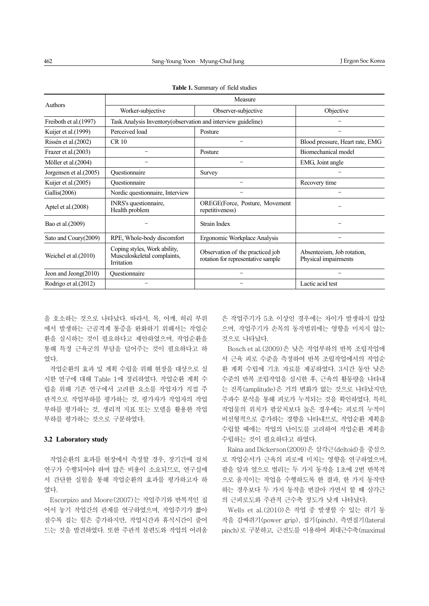| Authors                 | Measure                                                                   |                                                                        |                                                    |  |
|-------------------------|---------------------------------------------------------------------------|------------------------------------------------------------------------|----------------------------------------------------|--|
|                         | Worker-subjective                                                         | Observer-subjective                                                    | Objective                                          |  |
| Freiboth et al.(1997)   | Task Analysis Inventory (observation and interview guideline)             |                                                                        |                                                    |  |
| Kuijer et al. (1999)    | Perceived load                                                            | Posture                                                                |                                                    |  |
| Rissén et al. (2002)    | <b>CR 10</b>                                                              |                                                                        | Blood pressure, Heart rate, EMG                    |  |
| Frazer et al. (2003)    |                                                                           | Posture                                                                | Biomechanical model                                |  |
| Möller et al. (2004)    |                                                                           |                                                                        | EMG, Joint angle                                   |  |
| Jorgensen et al. (2005) | Ouestionnaire                                                             | Survey                                                                 |                                                    |  |
| Kuijer et al. $(2005)$  | Ouestionnaire                                                             |                                                                        | Recovery time                                      |  |
| Gallis $(2006)$         | Nordic questionnaire, Interview                                           |                                                                        |                                                    |  |
| Aptel et al. $(2008)$   | INRS's questionnaire,<br>Health problem                                   | <b>OREGE</b> (Force, Posture, Movement<br>repetitiveness)              |                                                    |  |
| Bao et al. (2009)       |                                                                           | Strain Index                                                           |                                                    |  |
| Sato and Coury(2009)    | RPE, Whole-body discomfort                                                | Ergonomic Workplace Analysis                                           |                                                    |  |
| Weichel et al. (2010)   | Coping styles, Work ability,<br>Musculoskeletal complaints,<br>Irritation | Observation of the practiced job<br>rotation for representative sample | Absenteeism, Job rotation,<br>Physical impairments |  |
| Jeon and Jeong $(2010)$ | Ouestionnaire                                                             |                                                                        |                                                    |  |
| Rodrigo et al.(2012)    |                                                                           |                                                                        | Lactic acid test                                   |  |

**Table 1.** Summary of field studies

을 호소하는 것으로 나타났다. 따라서, 목, 어깨, 허리 부위 에서 발생하는 근골격계 통증을 완화하기 위해서는 작업순 환을 실시하는 것이 필요하다고 제안하였으며, 작업순환을 통해 특정 근육군의 부담을 덜어주는 것이 필요하다고 하 였다.

작업순환의 효과 및 계획 수립을 위해 현장을 대상으로 실 시한 연구에 대해 Table 1에 정리하였다. 작업순환 계획 수 립을 위해 기존 연구에서 고려한 요소를 작업자가 직접 주 관적으로 작업부하를 평가하는 것, 평가자가 작업자의 작업 부하를 평가하는 것, 생리적 지표 또는 모델을 활용한 작업 부하를 평가하는 것으로 구분하였다.

#### **3.2 Laboratory study**

작업순환의 효과를 현장에서 측정할 경우, 장기간에 걸쳐 연구가 수행되어야 하며 많은 비용이 소요되므로, 연구실에 서 간단한 실험을 통해 작업순환의 효과를 평가하고자 하 였다.

Escorpizo and Moore(2007)는 작업주기와 반복적인 집 어서 놓기 작업간의 관계를 연구하였으며, 작업주기가 짧아 질수록 집는 힘은 증가하지만, 작업시간과 휴식시간이 줄어 드는 것을 발견하였다. 또한 주관적 불편도와 작업의 어려움

은 작업주기가 5초 이상인 경우에는 차이가 발생하지 않았 으며, 작업주기가 손목의 동작범위에는 영향을 미치지 않는 것으로 나타났다.

Bosch et al.(2009)은 낮은 작업부하의 반복 조립작업에 서 근육 피로 수준을 측정하여 반복 조립작업에서의 작업순 환 계획 수립에 기초 자료를 제공하였다. 3시간 동안 낮은 수준의 반복 조립작업을 실시한 후, 근육의 활동량을 나타내 는 진폭(amplitude)은 거의 변화가 없는 것으로 나타났지만, 주파수 분석을 통해 피로가 누적되는 것을 확인하였다. 특히, 작업물의 위치가 팔꿈치보다 높은 경우에는 피로의 누적이 비선형적으로 증가하는 경향을 나타내므로, 작업순환 계획을 수립할 때에는 작업의 난이도를 고려하여 작업순환 계획을 수립하는 것이 필요하다고 하였다.

Raina and Dickerson(2009)은 삼각근(deltoid)을 중심으 로 작업순서가 근육의 피로에 미치는 영향을 연구하였으며, 팔을 앞과 옆으로 벌리는 두 가지 동작을 1초에 2번 반복적 으로 움직이는 작업을 수행하도록 한 결과, 한 가지 동작만 하는 경우보다 두 가지 동작을 번갈아 가면서 할 때 삼각근 의 근피로도와 주관적 근수축 정도가 낮게 나타났다.

Wells et al.(2010)은 작업 중 발생할 수 있는 쥐기 동 작을 감싸쥐기(power grip), 집기(pinch), 측면집기(lateral pinch)로 구분하고, 근전도를 이용하여 최대근수축(maximal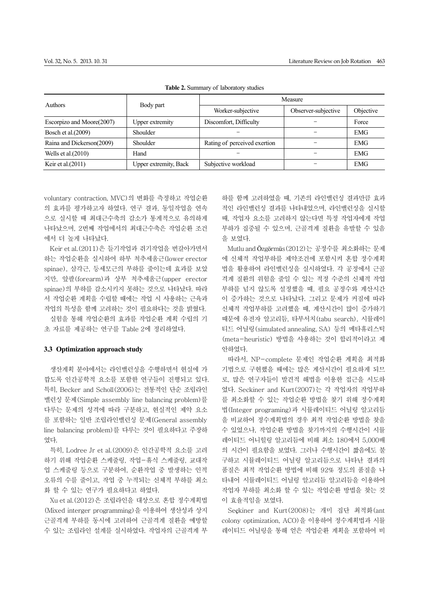| <b>Authors</b>            | Body part                    | Measure                      |                     |            |
|---------------------------|------------------------------|------------------------------|---------------------|------------|
|                           |                              | Worker-subjective            | Observer-subjective | Objective  |
| Escorpizo and Moore(2007) | Upper extremity              | Discomfort, Difficulty       |                     | Force      |
| Bosch et al. (2009)       | Shoulder                     |                              |                     | <b>EMG</b> |
| Raina and Dickerson(2009) | Shoulder                     | Rating of perceived exertion |                     | <b>EMG</b> |
| Wells et al. $(2010)$     | Hand                         |                              |                     | <b>EMG</b> |
| Keir et al. $(2011)$      | <b>Upper extremity, Back</b> | Subjective workload          |                     | <b>EMG</b> |

**Table 2.** Summary of laboratory studies

voluntary contraction, MVC)의 변화를 측정하고 작업순환 의 효과를 평가하고자 하였다. 연구 결과, 동일작업을 연속 으로 실시할 때 최대근수축의 감소가 통계적으로 유의하게 나타났으며, 2번째 작업에서의 최대근수축은 작업순환 조건 에서 더 높게 나타났다.

Keir et al.(2011)은 들기작업과 쥐기작업을 번갈아가면서 하는 작업순환을 실시하여 하부 척추세움근(lower erector spinae), 삼각근, 등세모근의 부하를 줄이는데 효과를 보았 지만, 앞팔(forearm)과 상부 척추세움근(upper erector spinae)의 부하를 감소시키지 못하는 것으로 나타났다. 따라 서 작업순환 계획을 수립할 때에는 작업 시 사용하는 근육과 작업의 특성을 함께 고려하는 것이 필요하다는 것을 밝혔다.

실험을 통해 작업순환의 효과를 작업순환 계획 수립의 기 초 자료를 제공하는 연구를 Table 2에 정리하였다.

## **3.3 Optimization approach study**

생산계획 분야에서는 라인밸런싱을 수행하면서 현실에 가 깝도록 인간공학적 요소를 포함한 연구들이 진행되고 있다. 특히, Becker and Scholl(2006)는 전통적인 단순 조립라인 밸런싱 문제(Simple assembly line balancing problem)를 다루는 문제의 성격에 따라 구분하고, 현실적인 제약 요소 를 포함하는 일반 조립라인밸런싱 문제(General assembly line balancing problem)를 다루는 것이 필요하다고 주장하 였다.

특히, Lodree Jr et al.(2009)은 인간공학적 요소를 고려 하기 위해 작업순환 스케줄링, 작업-휴식 스케줄링, 교대작 업 스케줄링 등으로 구분하여, 순환작업 중 발생하는 인적 오류의 수를 줄이고, 작업 중 누적되는 신체적 부하를 최소 화 할 수 있는 연구가 필요하다고 하였다.

Xu et al.(2012)은 조립라인을 대상으로 혼합 정수계획법 (Mixed interger programming)을 이용하여 생산성과 상지 근골격계 부하를 동시에 고려하여 근골격계 질환을 예방할 수 있는 조립라인 설계를 실시하였다. 작업자의 근골격계 부 하를 함께 고려하였을 때, 기존의 라인밸런싱 결과만큼 효과 적인 라인밸런싱 결과를 나타내었으며, 라인밸런싱을 실시할 때, 작업자 요소를 고려하지 않는다면 특정 작업자에게 작업 부하가 집중될 수 있으며, 근골격계 질환을 유발할 수 있음 을 보였다.

Mutlu and Özgörmüs(2012)는 공정수를 최소화하는 문제 에 신체적 작업부하를 제약조건에 포함시켜 혼합 정수계획 법을 활용하여 라인밸런싱을 실시하였다. 각 공정에서 근골 격계 질환의 위험을 줄일 수 있는 적정 수준의 신체적 작업 부하를 넘지 않도록 설정했을 때, 필요 공정수와 계산시간 이 증가하는 것으로 나타났다. 그리고 문제가 커짐에 따라 신체적 작업부하를 고려했을 때, 계산시간이 많이 증가하기 때문에 유전자 알고리듬, 타부서치(tabu search), 시뮬레이 티드 어닐링(simulated annealing, SA) 등의 메타휴리스틱 (meta-heuristic) 방법을 사용하는 것이 합리적이라고 제 안하였다.

따라서, NP-complete 문제인 작업순환 계획을 최적화 기법으로 구현했을 때에는 많은 계산시간이 필요하게 되므 로, 많은 연구자들이 발견적 해법을 이용한 접근을 시도하 였다. Seckiner and Kurt(2007)는 각 작업자의 작업부하 를 최소화할 수 있는 작업순환 방법을 찾기 위해 정수계획 법(Integer programing)과 시뮬레이티드 어닐링 알고리듬 을 비교하여 정수계획법의 경우 최적 작업순환 방법을 찾을 수 있었으나, 작업순환 방법을 찾기까지의 수행시간이 시뮬 레이티드 어니힐링 알고리듬에 비해 최소 180에서 5,000배 의 시간이 필요함을 보였다. 그러나 수행시간이 짧음에도 불 구하고 시뮬레이티드 어닐링 알고리듬으로 나타난 결과의 품질은 최적 작업순환 방법에 비해 92% 정도의 품질을 나 타내어 시뮬레이티드 어닐링 알고리듬 알고리듬을 이용하여 작업자 부하를 최소화 할 수 있는 작업순환 방법을 찾는 것 이 효율적임을 보였다.

Seçkiner and Kurt(2008)는 개미 집단 최적화(ant colony optimization, ACO)을 이용하여 정수계획법과 시뮬 레이티드 어닐링을 통해 얻은 작업순환 계획을 포함하여 비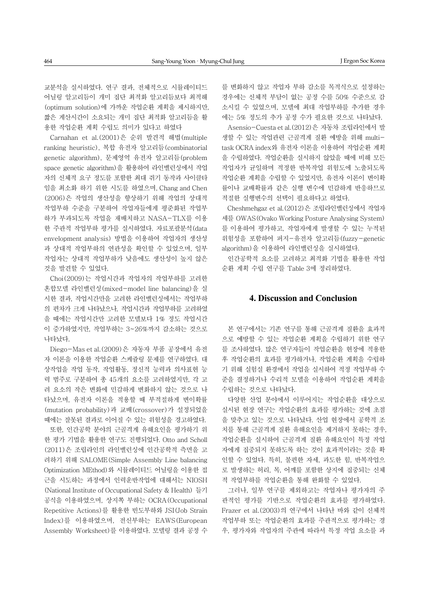교분석을 실시하였다. 연구 결과, 전체적으로 시뮬레이티드 어닐링 알고리듬이 개미 집단 최적화 알고리듬보다 최적해 (optimum solution)에 가까운 작업순환 계획을 제시하지만, 짧은 계산시간이 소요되는 개미 집단 최적화 알고리듬을 활 용한 작업순환 계획 수립도 의미가 있다고 하였다

Carnahan et al.(2001)은 순위 발견적 해법(multiple ranking heuristic), 복합 유전자 알고리듬(combinatorial genetic algorithm), 문제영역 유전자 알고리듬(problem space genetic algorithm)을 활용하여 라인밸런싱에서 작업 자의 신체적 요구 정도를 포함한 최대 쥐기 동작과 사이클타 임을 최소화 하기 위한 시도를 하였으며, Chang and Chen (2006)은 작업의 생산성을 향상하기 위해 작업의 상대적 작업부하 수준을 구분하여 작업자들에게 평준화된 작업부 하가 부과되도록 작업을 재배치하고 NASA-TLX를 이용 한 주관적 작업부하 평가를 실시하였다. 자료포괄분석(data envelopment analysis) 방법을 이용하여 작업자의 생산성 과 상대적 작업부하의 연관성을 확인할 수 있었으며, 일부 작업자는 상대적 작업부하가 낮음에도 생산성이 높지 않은 것을 발견할 수 있었다.

Choi(2009)는 작업시간과 작업자의 작업부하를 고려한 혼합모델 라인밸런싱(mixed-model line balancing)을 실 시한 결과, 작업시간만을 고려한 라인밸런싱에서는 작업부하 의 편차가 크게 나타났으나, 작업시간과 작업부하를 고려하였 을 때에는 작업시간만 고려한 모델보다 1% 정도 작업시간 이 증가하였지만, 작업부하는 3~26%까지 감소하는 것으로 나타났다.

Diego-Mas et al.(2009)은 자동자 부품 공장에서 유전 자 이론을 이용한 작업순환 스케쥴링 문제를 연구하였다. 대 상작업을 작업 동작, 작업활동, 정신적 능력과 의사표현 능 력 범주로 구분하여 총 45개의 요소를 고려하였지만, 각 고 려 요소의 작은 변화에 민감하게 변화하지 않는 것으로 나 타났으며, 유전자 이론을 적용할 때 부적절하게 변이확률 (mutation probability)과 교배(crossover)가 설정되었을 때에는 잘못된 결과로 이어질 수 있는 위험성을 경고하였다.

또한, 인간공학 분야의 근골격계 유해요인을 평가하기 위 한 평가 기법을 활용한 연구도 진행되었다. Otto and Scholl (2011)은 조립라인의 라인밸런싱에 인간공학적 측면을 고 려하기 위해 SALOME(Simple Assembly Line balancing Optimization MEthod)와 시뮬레이티드 어닐링을 이용한 접 근을 시도하는 과정에서 인력운반작업에 대해서는 NIOSH (National Institute of Occupational Safety & Health) 들기 공식을 이용하였으며, 상지쪽 부하는 OCRA(Occupational Repetitive Actions)를 활용한 빈도부하와 JSI(Job Strain Index)를 이용하였으며, 전신부하는 EAWS(European Assembly Worksheet)를 이용하였다. 모델링 결과 공정 수 를 변화하지 않고 작업자 부하 감소를 목적식으로 설정하는 경우에는 신체적 부담이 없는 공정 수를 50% 수준으로 감 소시킬 수 있었으며, 모델에 최대 작업부하를 추가한 경우 에는 5% 정도의 추가 공정 수가 필요한 것으로 나타났다.

Asensio-Cuesta et al.(2012)은 자동차 조립라인에서 발 생할 수 있는 작업관련 근골격계 질환 예방을 위해 multitask OCRA index와 유전자 이론을 이용하여 작업순환 계획 을 수립하였다. 작업순환을 실시하지 않았을 때에 비해 모든 작업자가 균일하며 적정한 반복작업 위험도에 노출되도록 작업순환 계획을 수립할 수 있었지만, 유전자 이론이 변이확 률이나 교배확률과 같은 실행 변수에 민감하게 반응하므로 적절한 실행변수의 선택이 필요하다고 하였다.

Cheshmehgaz et al.(2012)은 조립라인밸런싱에서 작업자 세를 OWAS(Ovako Working Posture Analysing System) 를 이용하여 평가하고, 작업자에게 발생할 수 있는 누적된 위험성을 포함하여 퍼지-유전자 알고리듬(fuzzy-genetic algorithm)을 이용하여 라인밸런싱을 실시하였다.

인간공학적 요소를 고려하고 최적화 기법을 활용한 작업 순환 계획 수립 연구를 Table 3에 정리하였다.

# **4. Discussion and Conclusion**

본 연구에서는 기존 연구를 통해 근골격계 질환을 효과적 으로 예방할 수 있는 작업순환 계획을 수립하기 위한 연구 를 조사하였다. 많은 연구자들이 작업순환을 현장에 적용한 후 작업순환의 효과를 평가하거나, 작업순환 계획을 수립하 기 위해 실험실 환경에서 작업을 실시하여 적정 작업부하 수 준을 결정하거나 수리적 모델을 이용하여 작업순환 계획을 수립하는 것으로 나타났다.

다양한 산업 분야에서 이루어지는 작업순환을 대상으로 실시된 현장 연구는 작업순환의 효과를 평가하는 것에 초점 을 맞추고 있는 것으로 나타났다. 산업 현장에서 공학적 조 치를 통해 근골격계 질환 유해요인을 제거하지 못하는 경우, 작업순환을 실시하여 근골격계 질환 유해요인이 특정 작업 자에게 집중되지 못하도록 하는 것이 효과적이라는 것을 확 인할 수 있었다. 특히, 불편한 자세, 과도한 힘, 반복작업으 로 발생하는 허리, 목, 어깨를 포함한 상지에 집중되는 신체 적 작업부하를 작업순환을 통해 완화할 수 있었다.

그러나, 일부 연구를 제외하고는 작업자나 평가자의 주 관적인 평가를 기반으로 작업순환의 효과를 평가하였다. Frazer et al.(2003)의 연구에서 나타난 바와 같이 신체적 작업부하 또는 작업순환의 효과를 주관적으로 평가하는 경 우, 평가자와 작업자의 주관에 따라서 특정 작업 요소를 과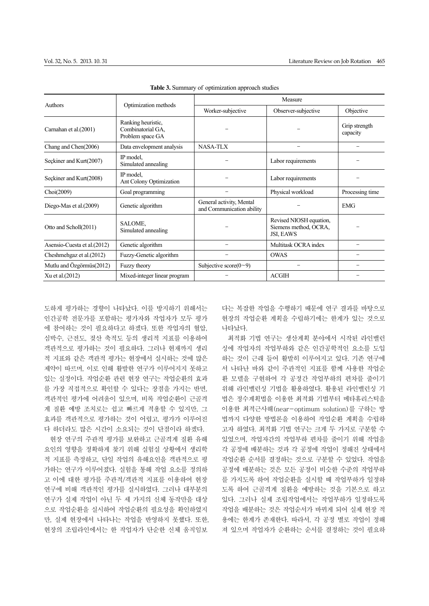| Authors                      | Optimization methods                                        | Measure                                               |                                                               |                           |
|------------------------------|-------------------------------------------------------------|-------------------------------------------------------|---------------------------------------------------------------|---------------------------|
|                              |                                                             | Worker-subjective                                     | Observer-subjective                                           | Objective                 |
| Carnahan et al.(2001)        | Ranking heuristic,<br>Combinatorial GA,<br>Problem space GA |                                                       |                                                               | Grip strength<br>capacity |
| Chang and Chen(2006)         | Data envelopment analysis                                   | <b>NASA-TLX</b>                                       |                                                               |                           |
| Seckiner and Kurt(2007)      | IP model,<br>Simulated annealing                            |                                                       | Labor requirements                                            |                           |
| Seckiner and Kurt(2008)      | IP model,<br>Ant Colony Optimization                        |                                                       | Labor requirements                                            |                           |
| Choi(2009)                   | Goal programming                                            |                                                       | Physical workload                                             | Processing time           |
| Diego-Mas et al. (2009)      | Genetic algorithm                                           | General activity, Mental<br>and Communication ability |                                                               | <b>EMG</b>                |
| Otto and Scholl(2011)        | SALOME,<br>Simulated annealing                              |                                                       | Revised NIOSH equation,<br>Siemens method, OCRA,<br>JSI, EAWS |                           |
| Asensio-Cuesta et al. (2012) | Genetic algorithm                                           |                                                       | Multitask OCRA index                                          |                           |
| Cheshmengaz et al. (2012)    | Fuzzy-Genetic algorithm                                     |                                                       | <b>OWAS</b>                                                   |                           |
| Mutlu and Özgörmüs(2012)     | Fuzzy theory                                                | Subjective score $(0-9)$                              |                                                               |                           |
| Xu et al. (2012)             | Mixed-integer linear program                                |                                                       | <b>ACGIH</b>                                                  |                           |

**Table 3.** Summary of optimization approach studies

도하게 평가하는 경향이 나타났다. 이를 방지하기 위해서는 인간공학 전문가를 포함하는 평가자와 작업자가 모두 평가 에 참여하는 것이 필요하다고 하겠다. 또한 작업자의 혈압, 심박수, 근전도, 젖산 축적도 등의 생리적 지표를 이용하여 객관적으로 평가하는 것이 필요하다. 그러나 현재까지 생리 적 지표와 같은 객관적 평가는 현장에서 실시하는 것에 많은 제약이 따르며, 이로 인해 활발한 연구가 이루어지지 못하고 있는 실정이다. 작업순환 관련 현장 연구는 작업순환의 효과 를 가장 직접적으로 확인할 수 있다는 장점을 가지는 반면, 객관적인 평가에 어려움이 있으며, 비록 작업순환이 근골격 계 질환 예방 조치로는 쉽고 빠르게 적용할 수 있지만, 그 효과를 객관적으로 평가하는 것이 어렵고, 평가가 이루어진 다 하더라도 많은 시간이 소요되는 것이 단점이라 하겠다.

현장 연구의 주관적 평가를 보완하고 근골격계 질환 유해 요인의 영향을 정확하게 찾기 위해 실험실 상황에서 생리학 적 지표를 측정하고, 단일 작업의 유해요인을 객관적으로 평 가하는 연구가 이루어졌다. 실험을 통해 작업 요소를 정의하 고 이에 대한 평가를 주관적/객관적 지표를 이용하여 현장 연구에 비해 객관적인 평가를 실시하였다. 그러나 대부분의 연구가 실제 작업이 아닌 두 세 가지의 신체 동작만을 대상 으로 작업순환을 실시하여 작업순환의 필요성을 확인하였지 만, 실제 현장에서 나타나는 작업을 반영하지 못했다. 또한, 현장의 조립라인에서는 한 작업자가 단순한 신체 움직임보

다는 복잡한 작업을 수행하기 때문에 연구 결과를 바탕으로 현장의 작업순환 계획을 수립하기에는 한계가 있는 것으로 나타났다.

최적화 기법 연구는 생산계획 분야에서 시작된 라인밸런 싱에 작업자의 작업부하와 같은 인간공학적인 요소를 도입 하는 것이 근래 들어 활발히 이루어지고 있다. 기존 연구에 서 나타난 바와 같이 주관적인 지표를 함께 사용한 작업순 환 모델을 구현하여 각 공정간 작업부하의 편차를 줄이기 위해 라인밸런싱 기법을 활용하였다. 활용된 라인밸런싱 기 법은 정수계획법을 이용한 최적화 기법부터 메타휴리스틱을 이용한 최적근사해(near-optimum solution)를 구하는 방 법까지 다양한 방법론을 이용하여 작업순환 계획을 수립하 고자 하였다. 최적화 기법 연구는 크게 두 가지로 구분할 수 있었으며, 작업자간의 작업부하 편차를 줄이기 위해 작업을 각 공정에 배분하는 것과 각 공정에 작업이 정해진 상태에서 작업순환 순서를 결정하는 것으로 구분할 수 있었다. 작업을 공정에 배분하는 것은 모든 공정이 비슷한 수준의 작업부하 를 가지도록 하여 작업순환을 실시할 때 작업부하가 일정하 도록 하여 근골격계 질환을 예방하는 것을 기본으로 하고 있다. 그러나 실제 조립작업에서는 작업부하가 일정하도록 작업을 배분하는 것은 작업순서가 바뀌게 되어 실제 현장 적 용에는 한계가 존재한다. 따라서, 각 공정 별로 작업이 정해 져 있으며 작업자가 순환하는 순서를 결정하는 것이 필요하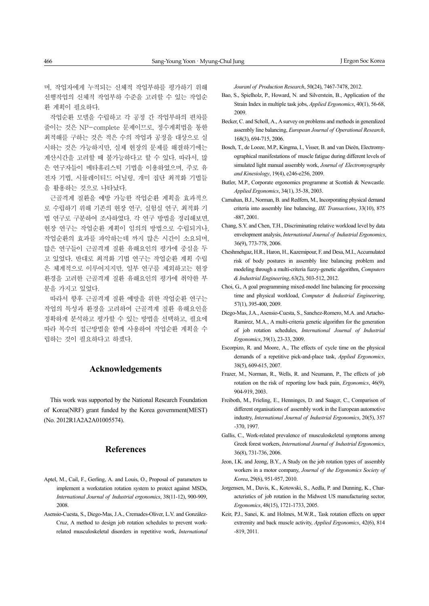며, 작업자에게 누적되는 신체적 작업부하를 평가하기 위해 선행작업의 신체적 작업부하 수준을 고려할 수 있는 작업순 환 계획이 필요하다.

작업순환 모델을 수립하고 각 공정 간 작업부하의 편차를 줄이는 것은 NP-complete 문제이므로, 정수계획법을 통한 최적해를 구하는 것은 적은 수의 작업과 공정을 대상으로 실 시하는 것은 가능하지만, 실제 현장의 문제를 해결하기에는 계산시간을 고려할 때 불가능하다고 할 수 있다. 따라서, 많 은 연구자들이 메타휴리스틱 기법을 이용하였으며, 주로 유 전자 기법, 시뮬레이티드 어닐링, 개미 집단 최적화 기법들 을 활용하는 것으로 나타났다.

근골격계 질환을 예방 가능한 작업순환 계획을 효과적으 로 수립하기 위해 기존의 현장 연구, 실험실 연구, 최적화 기 법 연구로 구분하여 조사하였다. 각 연구 방법을 정리해보면, 현장 연구는 작업순환 계획이 임의의 방법으로 수립되거나, 작업순환의 효과를 파악하는데 까지 많은 시간이 소요되며, 많은 연구들이 근골격계 질환 유해요인의 평가에 중심을 두 고 있었다. 반대로 최적화 기법 연구는 작업순환 계획 수립 은 체계적으로 이루어지지만, 일부 연구를 제외하고는 현장 환경을 고려한 근골격계 질환 유해요인의 평가에 취약한 부 분을 가지고 있었다.

따라서 향후 근골격계 질환 예방을 위한 작업순환 연구는 작업의 특성과 환경을 고려하여 근골격계 질환 유해요인을 정확하게 분석하고 평가할 수 있는 방법을 선택하고, 필요에 따라 복수의 접근방법을 함께 사용하여 작업순환 계획을 수 립하는 것이 필요하다고 하겠다.

## **Acknowledgements**

This work was supported by the National Research Foundation of Korea(NRF) grant funded by the Korea government(MEST) (No. 2012R1A2A2A01005574).

## **References**

- Aptel, M., Cail, F., Gerling, A. and Louis, O., Proposal of parameters to implement a workstation rotation system to protect against MSDs, *International Journal of Industrial ergonomics*, 38(11-12), 900-909, 2008.
- Asensio-Cuesta, S., Diego-Mas, J.A., Cremades-Oliver, L.V. and González-Cruz, A method to design job rotation schedules to prevent workrelated musculoskeletal disorders in repetitive work, *International*

*Jouranl of Production Research*, 50(24), 7467-7478, 2012.

Bao, S., Spielholz, P., Howard, N. and Silverstein, B., Application of the Strain Index in multiple task jobs, *Applied Ergonomics*, 40(1), 56-68, 2009.

- Becker, C. and Scholl, A., A survey on problems and methods in generalized assembly line balancing, *European Journal of Operational Research*, 168(3), 694-715, 2006.
- Bosch, T., de Looze, M.P., Kingma, I., Visser, B. and van Dieën, Electromyographical manifestations of muscle fatigue during different levels of simulated light manual assembly work, *Journal of Electromyography and Kinesiology*, 19(4), e246-e256, 2009.
- Butler, M.P., Corporate ergonomics programme at Scottish & Newcastle. *Applied Ergonomics*, 34(1), 35-38, 2003.
- Carnahan, B.J., Norman, B. and Redfern, M., Incorporating physical demand criteria into assembly line balancing, *IIE Transactions*, 33(10), 875 -887, 2001.
- Chang, S.Y. and Chen, T.H., Discriminating relative workload level by data envelopment analysis, *International Journal of Industrial Ergonomics*, 36(9), 773-778, 2006.
- Cheshmehgaz, H.R., Haron, H., Kazemipour, F. and Desa, M.I., Accumulated risk of body postures in assembly line balancing problem and modeling through a multi-criteria fuzzy-genetic algorithm, *Computers & Industrial Engineering*, 63(2), 503-512, 2012.
- Choi, G., A goal programming mixed-model line balancing for processing time and physical workload, *Computer & Industrial Engineering*, 57(1), 395-400, 2009.
- Diego-Mas, J.A., Asensio-Cuesta, S., Sanchez-Romero, M.A. and Artacho-Ramirez, M.A., A multi-criteria genetic algorithm for the generation of job rotation schedules, *International Journal of Industrial Ergonomics*, 39(1), 23-33, 2009.
- Escorpizo, R. and Moore, A., The effects of cycle time on the physical demands of a repetitive pick-and-place task, *Applied Ergonomics*, 38(5), 609-615, 2007.
- Frazer, M., Norman, R., Wells, R. and Neumann, P., The effects of job rotation on the risk of reporting low back pain, *Ergonomics*, 46(9), 904-919, 2003.
- Freiboth, M., Frieling, E., Henninges, D. and Saager, C., Comparison of different organisations of assembly work in the European automotive industry, *International Journal of Industrial Ergonomics*, 20(5), 357 -370, 1997.
- Gallis, C., Work-related prevalence of musculoskeletal symptoms among Greek forest workers, *International Journal of Industrial Ergonomics*, 36(8), 731-736, 2006.
- Jeon, I.K. and Jeong, B.Y., A Study on the job rotation types of assembly workers in a motor company, *Journal of the Ergonomics Society of Korea*, 29(6), 951-957, 2010.
- Jorgensen, M., Davis, K., Kotowski, S., Aedla, P. and Dunning, K., Characteristics of job rotation in the Midwest US manufacturing sector, *Ergonomics*, 48(15), 1721-1733, 2005.
- Keir, P.J., Sanei, K. and Holmes, M.W.R., Task rotation effects on upper extremity and back muscle activity, *Applied Ergonomics*, 42(6), 814 -819, 2011.